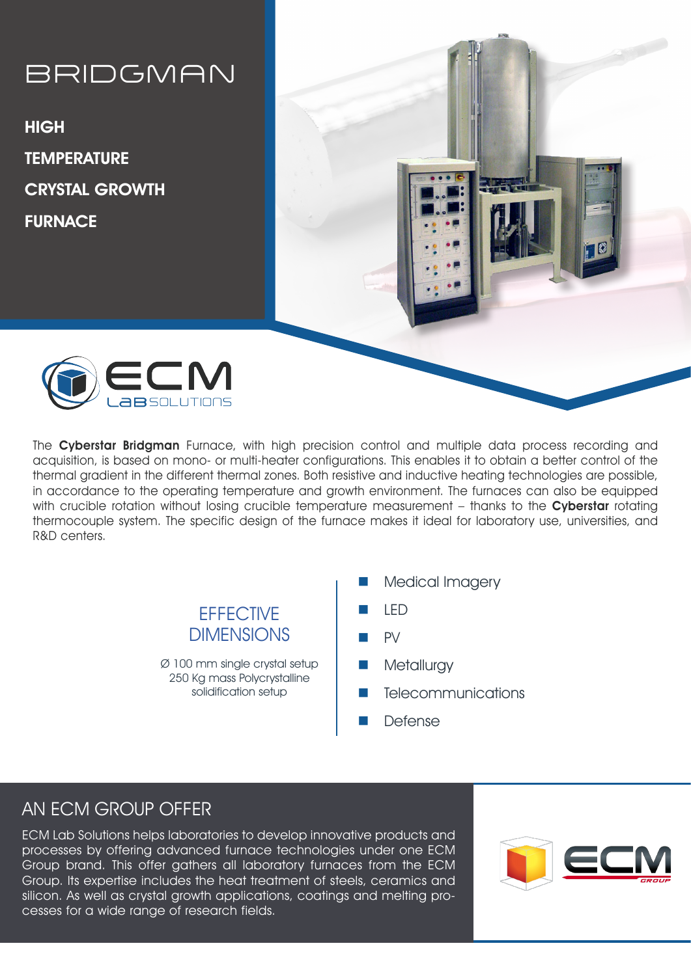## BRIDGMAN

**HIGH TEMPERATURE** CRYSTAL GROWTH **FURNACE** 





The Cyberstar Bridgman Furnace, with high precision control and multiple data process recording and acquisition, is based on mono- or multi-heater configurations. This enables it to obtain a better control of the thermal gradient in the different thermal zones. Both resistive and inductive heating technologies are possible, in accordance to the operating temperature and growth environment. The furnaces can also be equipped with crucible rotation without losing crucible temperature measurement - thanks to the Cyberstar rotating thermocouple system. The specific design of the furnace makes it ideal for laboratory use, universities, and R&D centers.

> **EFFECTIVE** DIMENSIONS

Ø 100 mm single crystal setup 250 Kg mass Polycrystalline solidification setup

- Medical Imagery
- n LED
- n PV
- Metallurgy
- **Telecommunications**
- **Defense**

## AN ECM GROUP OFFER

ECM Lab Solutions helps laboratories to develop innovative products and processes by offering advanced furnace technologies under one ECM Group brand. This offer gathers all laboratory furnaces from the ECM Group. Its expertise includes the heat treatment of steels, ceramics and silicon. As well as crystal growth applications, coatings and melting processes for a wide range of research fields.